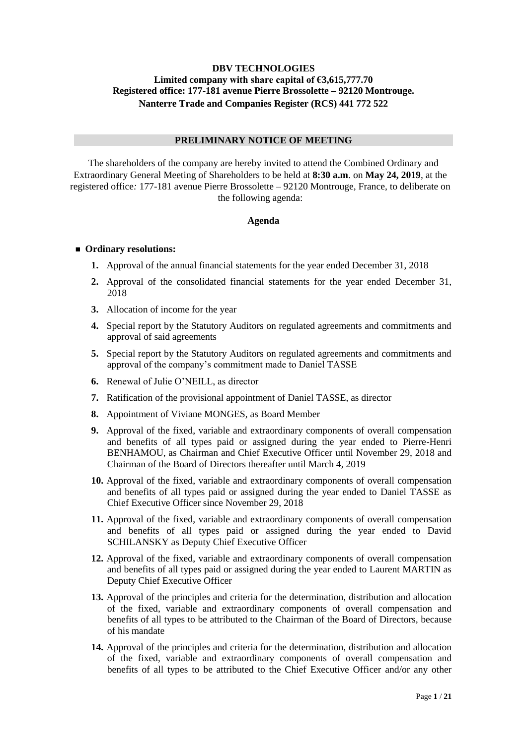# **DBV TECHNOLOGIES Limited company with share capital of €3,615,777.70 Registered office: 177-181 avenue Pierre Brossolette – 92120 Montrouge. Nanterre Trade and Companies Register (RCS) 441 772 522**

# **PRELIMINARY NOTICE OF MEETING**

The shareholders of the company are hereby invited to attend the Combined Ordinary and Extraordinary General Meeting of Shareholders to be held at **8:30 a.m**. on **May 24, 2019**, at the registered office*:* 177-181 avenue Pierre Brossolette – 92120 Montrouge, France, to deliberate on the following agenda:

#### **Agenda**

#### ■ Ordinary resolutions:

- **1.** Approval of the annual financial statements for the year ended December 31, 2018
- **2.** Approval of the consolidated financial statements for the year ended December 31, 2018
- **3.** Allocation of income for the year
- **4.** Special report by the Statutory Auditors on regulated agreements and commitments and approval of said agreements
- **5.** Special report by the Statutory Auditors on regulated agreements and commitments and approval of the company's commitment made to Daniel TASSE
- **6.** Renewal of Julie O'NEILL, as director
- **7.** Ratification of the provisional appointment of Daniel TASSE, as director
- **8.** Appointment of Viviane MONGES, as Board Member
- **9.** Approval of the fixed, variable and extraordinary components of overall compensation and benefits of all types paid or assigned during the year ended to Pierre-Henri BENHAMOU, as Chairman and Chief Executive Officer until November 29, 2018 and Chairman of the Board of Directors thereafter until March 4, 2019
- **10.** Approval of the fixed, variable and extraordinary components of overall compensation and benefits of all types paid or assigned during the year ended to Daniel TASSE as Chief Executive Officer since November 29, 2018
- **11.** Approval of the fixed, variable and extraordinary components of overall compensation and benefits of all types paid or assigned during the year ended to David SCHILANSKY as Deputy Chief Executive Officer
- **12.** Approval of the fixed, variable and extraordinary components of overall compensation and benefits of all types paid or assigned during the year ended to Laurent MARTIN as Deputy Chief Executive Officer
- **13.** Approval of the principles and criteria for the determination, distribution and allocation of the fixed, variable and extraordinary components of overall compensation and benefits of all types to be attributed to the Chairman of the Board of Directors, because of his mandate
- **14.** Approval of the principles and criteria for the determination, distribution and allocation of the fixed, variable and extraordinary components of overall compensation and benefits of all types to be attributed to the Chief Executive Officer and/or any other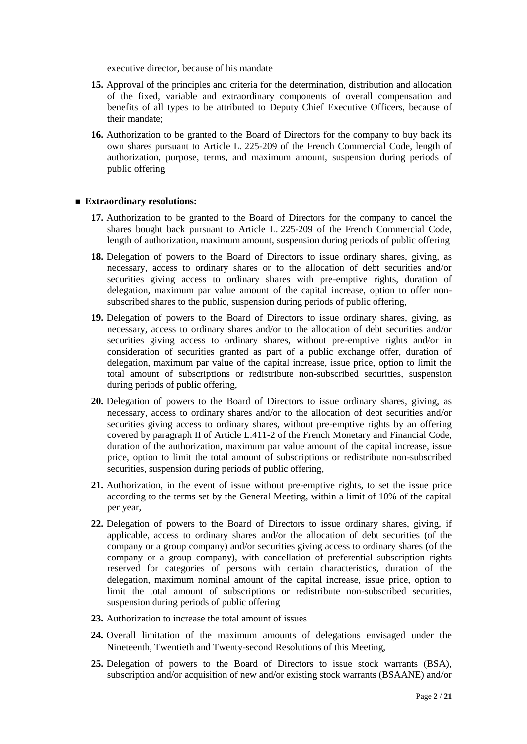executive director, because of his mandate

- **15.** Approval of the principles and criteria for the determination, distribution and allocation of the fixed, variable and extraordinary components of overall compensation and benefits of all types to be attributed to Deputy Chief Executive Officers, because of their mandate;
- **16.** Authorization to be granted to the Board of Directors for the company to buy back its own shares pursuant to Article L. 225-209 of the French Commercial Code, length of authorization, purpose, terms, and maximum amount, suspension during periods of public offering

#### ■ **Extraordinary resolutions:**

- **17.** Authorization to be granted to the Board of Directors for the company to cancel the shares bought back pursuant to Article L. 225-209 of the French Commercial Code, length of authorization, maximum amount, suspension during periods of public offering
- **18.** Delegation of powers to the Board of Directors to issue ordinary shares, giving, as necessary, access to ordinary shares or to the allocation of debt securities and/or securities giving access to ordinary shares with pre-emptive rights, duration of delegation, maximum par value amount of the capital increase, option to offer nonsubscribed shares to the public, suspension during periods of public offering,
- **19.** Delegation of powers to the Board of Directors to issue ordinary shares, giving, as necessary, access to ordinary shares and/or to the allocation of debt securities and/or securities giving access to ordinary shares, without pre-emptive rights and/or in consideration of securities granted as part of a public exchange offer, duration of delegation, maximum par value of the capital increase, issue price, option to limit the total amount of subscriptions or redistribute non-subscribed securities, suspension during periods of public offering,
- **20.** Delegation of powers to the Board of Directors to issue ordinary shares, giving, as necessary, access to ordinary shares and/or to the allocation of debt securities and/or securities giving access to ordinary shares, without pre-emptive rights by an offering covered by paragraph II of Article L.411-2 of the French Monetary and Financial Code, duration of the authorization, maximum par value amount of the capital increase, issue price, option to limit the total amount of subscriptions or redistribute non-subscribed securities, suspension during periods of public offering,
- **21.** Authorization, in the event of issue without pre-emptive rights, to set the issue price according to the terms set by the General Meeting, within a limit of 10% of the capital per year,
- **22.** Delegation of powers to the Board of Directors to issue ordinary shares, giving, if applicable, access to ordinary shares and/or the allocation of debt securities (of the company or a group company) and/or securities giving access to ordinary shares (of the company or a group company), with cancellation of preferential subscription rights reserved for categories of persons with certain characteristics, duration of the delegation, maximum nominal amount of the capital increase, issue price, option to limit the total amount of subscriptions or redistribute non-subscribed securities, suspension during periods of public offering
- **23.** Authorization to increase the total amount of issues
- **24.** Overall limitation of the maximum amounts of delegations envisaged under the Nineteenth, Twentieth and Twenty-second Resolutions of this Meeting,
- **25.** Delegation of powers to the Board of Directors to issue stock warrants (BSA), subscription and/or acquisition of new and/or existing stock warrants (BSAANE) and/or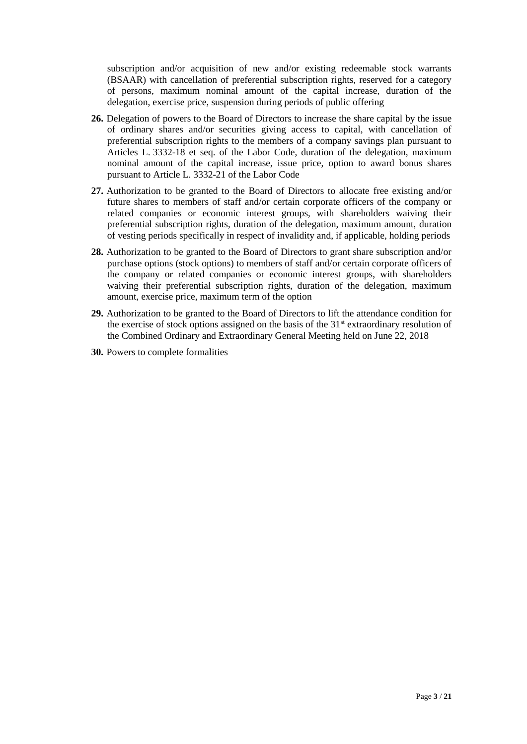subscription and/or acquisition of new and/or existing redeemable stock warrants (BSAAR) with cancellation of preferential subscription rights, reserved for a category of persons, maximum nominal amount of the capital increase, duration of the delegation, exercise price, suspension during periods of public offering

- **26.** Delegation of powers to the Board of Directors to increase the share capital by the issue of ordinary shares and/or securities giving access to capital, with cancellation of preferential subscription rights to the members of a company savings plan pursuant to Articles L. 3332-18 et seq. of the Labor Code, duration of the delegation, maximum nominal amount of the capital increase, issue price, option to award bonus shares pursuant to Article L. 3332-21 of the Labor Code
- **27.** Authorization to be granted to the Board of Directors to allocate free existing and/or future shares to members of staff and/or certain corporate officers of the company or related companies or economic interest groups, with shareholders waiving their preferential subscription rights, duration of the delegation, maximum amount, duration of vesting periods specifically in respect of invalidity and, if applicable, holding periods
- **28.** Authorization to be granted to the Board of Directors to grant share subscription and/or purchase options (stock options) to members of staff and/or certain corporate officers of the company or related companies or economic interest groups, with shareholders waiving their preferential subscription rights, duration of the delegation, maximum amount, exercise price, maximum term of the option
- **29.** Authorization to be granted to the Board of Directors to lift the attendance condition for the exercise of stock options assigned on the basis of the  $31<sup>st</sup>$  extraordinary resolution of the Combined Ordinary and Extraordinary General Meeting held on June 22, 2018
- **30.** Powers to complete formalities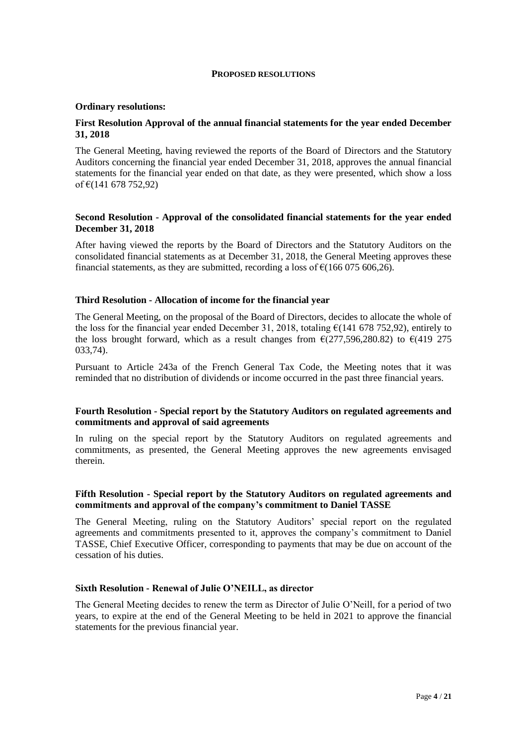#### **PROPOSED RESOLUTIONS**

#### **Ordinary resolutions:**

## **First Resolution Approval of the annual financial statements for the year ended December 31, 2018**

The General Meeting, having reviewed the reports of the Board of Directors and the Statutory Auditors concerning the financial year ended December 31, 2018, approves the annual financial statements for the financial year ended on that date, as they were presented, which show a loss of €(141 678 752,92)

#### **Second Resolution - Approval of the consolidated financial statements for the year ended December 31, 2018**

After having viewed the reports by the Board of Directors and the Statutory Auditors on the consolidated financial statements as at December 31, 2018, the General Meeting approves these financial statements, as they are submitted, recording a loss of  $\epsilon$ (166 075 606,26).

#### **Third Resolution - Allocation of income for the financial year**

The General Meeting, on the proposal of the Board of Directors, decides to allocate the whole of the loss for the financial year ended December 31, 2018, totaling  $\epsilon$ (141 678 752,92), entirely to the loss brought forward, which as a result changes from  $\epsilon$ (277,596,280.82) to  $\epsilon$ (419 275 033,74).

Pursuant to Article 243a of the French General Tax Code, the Meeting notes that it was reminded that no distribution of dividends or income occurred in the past three financial years.

## **Fourth Resolution - Special report by the Statutory Auditors on regulated agreements and commitments and approval of said agreements**

In ruling on the special report by the Statutory Auditors on regulated agreements and commitments, as presented, the General Meeting approves the new agreements envisaged therein.

#### **Fifth Resolution - Special report by the Statutory Auditors on regulated agreements and commitments and approval of the company's commitment to Daniel TASSE**

The General Meeting, ruling on the Statutory Auditors' special report on the regulated agreements and commitments presented to it, approves the company's commitment to Daniel TASSE, Chief Executive Officer, corresponding to payments that may be due on account of the cessation of his duties.

## **Sixth Resolution - Renewal of Julie O'NEILL, as director**

The General Meeting decides to renew the term as Director of Julie O'Neill, for a period of two years, to expire at the end of the General Meeting to be held in 2021 to approve the financial statements for the previous financial year.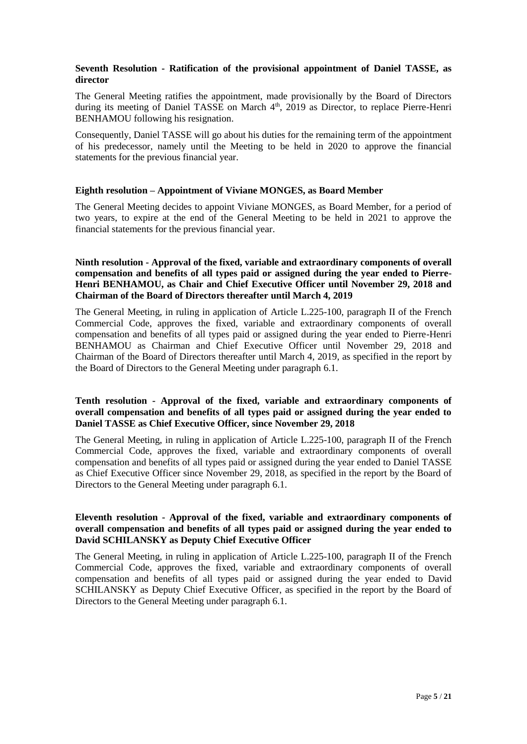# **Seventh Resolution - Ratification of the provisional appointment of Daniel TASSE, as director**

The General Meeting ratifies the appointment, made provisionally by the Board of Directors during its meeting of Daniel TASSE on March 4<sup>th</sup>, 2019 as Director, to replace Pierre-Henri BENHAMOU following his resignation.

Consequently, Daniel TASSE will go about his duties for the remaining term of the appointment of his predecessor, namely until the Meeting to be held in 2020 to approve the financial statements for the previous financial year.

## **Eighth resolution – Appointment of Viviane MONGES, as Board Member**

The General Meeting decides to appoint Viviane MONGES, as Board Member, for a period of two years, to expire at the end of the General Meeting to be held in 2021 to approve the financial statements for the previous financial year.

**Ninth resolution - Approval of the fixed, variable and extraordinary components of overall compensation and benefits of all types paid or assigned during the year ended to Pierre-Henri BENHAMOU, as Chair and Chief Executive Officer until November 29, 2018 and Chairman of the Board of Directors thereafter until March 4, 2019**

The General Meeting, in ruling in application of Article L.225-100, paragraph II of the French Commercial Code, approves the fixed, variable and extraordinary components of overall compensation and benefits of all types paid or assigned during the year ended to Pierre-Henri BENHAMOU as Chairman and Chief Executive Officer until November 29, 2018 and Chairman of the Board of Directors thereafter until March 4, 2019, as specified in the report by the Board of Directors to the General Meeting under paragraph 6.1.

# **Tenth resolution - Approval of the fixed, variable and extraordinary components of overall compensation and benefits of all types paid or assigned during the year ended to Daniel TASSE as Chief Executive Officer, since November 29, 2018**

The General Meeting, in ruling in application of Article L.225-100, paragraph II of the French Commercial Code, approves the fixed, variable and extraordinary components of overall compensation and benefits of all types paid or assigned during the year ended to Daniel TASSE as Chief Executive Officer since November 29, 2018, as specified in the report by the Board of Directors to the General Meeting under paragraph 6.1.

# **Eleventh resolution - Approval of the fixed, variable and extraordinary components of overall compensation and benefits of all types paid or assigned during the year ended to David SCHILANSKY as Deputy Chief Executive Officer**

The General Meeting, in ruling in application of Article L.225-100, paragraph II of the French Commercial Code, approves the fixed, variable and extraordinary components of overall compensation and benefits of all types paid or assigned during the year ended to David SCHILANSKY as Deputy Chief Executive Officer, as specified in the report by the Board of Directors to the General Meeting under paragraph 6.1.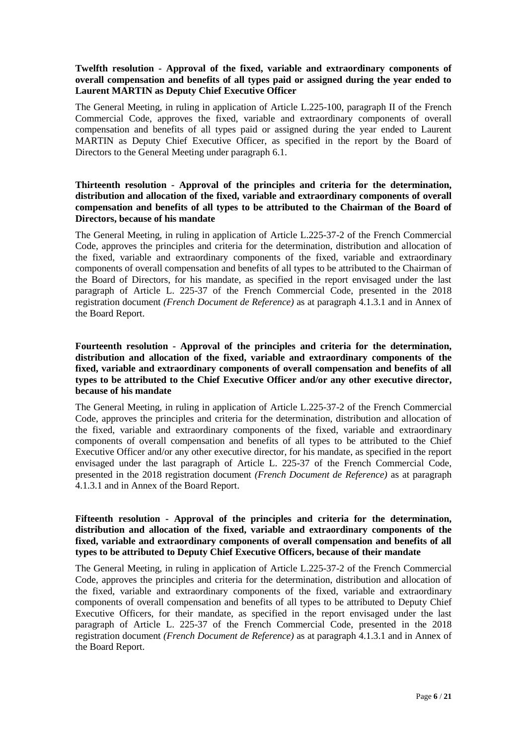## **Twelfth resolution - Approval of the fixed, variable and extraordinary components of overall compensation and benefits of all types paid or assigned during the year ended to Laurent MARTIN as Deputy Chief Executive Officer**

The General Meeting, in ruling in application of Article L.225-100, paragraph II of the French Commercial Code, approves the fixed, variable and extraordinary components of overall compensation and benefits of all types paid or assigned during the year ended to Laurent MARTIN as Deputy Chief Executive Officer, as specified in the report by the Board of Directors to the General Meeting under paragraph 6.1.

# **Thirteenth resolution - Approval of the principles and criteria for the determination, distribution and allocation of the fixed, variable and extraordinary components of overall compensation and benefits of all types to be attributed to the Chairman of the Board of Directors, because of his mandate**

The General Meeting, in ruling in application of Article L.225-37-2 of the French Commercial Code, approves the principles and criteria for the determination, distribution and allocation of the fixed, variable and extraordinary components of the fixed, variable and extraordinary components of overall compensation and benefits of all types to be attributed to the Chairman of the Board of Directors, for his mandate, as specified in the report envisaged under the last paragraph of Article L. 225-37 of the French Commercial Code, presented in the 2018 registration document *(French Document de Reference)* as at paragraph 4.1.3.1 and in Annex of the Board Report.

# **Fourteenth resolution - Approval of the principles and criteria for the determination, distribution and allocation of the fixed, variable and extraordinary components of the fixed, variable and extraordinary components of overall compensation and benefits of all types to be attributed to the Chief Executive Officer and/or any other executive director, because of his mandate**

The General Meeting, in ruling in application of Article L.225-37-2 of the French Commercial Code, approves the principles and criteria for the determination, distribution and allocation of the fixed, variable and extraordinary components of the fixed, variable and extraordinary components of overall compensation and benefits of all types to be attributed to the Chief Executive Officer and/or any other executive director, for his mandate, as specified in the report envisaged under the last paragraph of Article L. 225-37 of the French Commercial Code, presented in the 2018 registration document *(French Document de Reference)* as at paragraph 4.1.3.1 and in Annex of the Board Report.

# **Fifteenth resolution - Approval of the principles and criteria for the determination, distribution and allocation of the fixed, variable and extraordinary components of the fixed, variable and extraordinary components of overall compensation and benefits of all types to be attributed to Deputy Chief Executive Officers, because of their mandate**

The General Meeting, in ruling in application of Article L.225-37-2 of the French Commercial Code, approves the principles and criteria for the determination, distribution and allocation of the fixed, variable and extraordinary components of the fixed, variable and extraordinary components of overall compensation and benefits of all types to be attributed to Deputy Chief Executive Officers, for their mandate, as specified in the report envisaged under the last paragraph of Article L. 225-37 of the French Commercial Code, presented in the 2018 registration document *(French Document de Reference)* as at paragraph 4.1.3.1 and in Annex of the Board Report.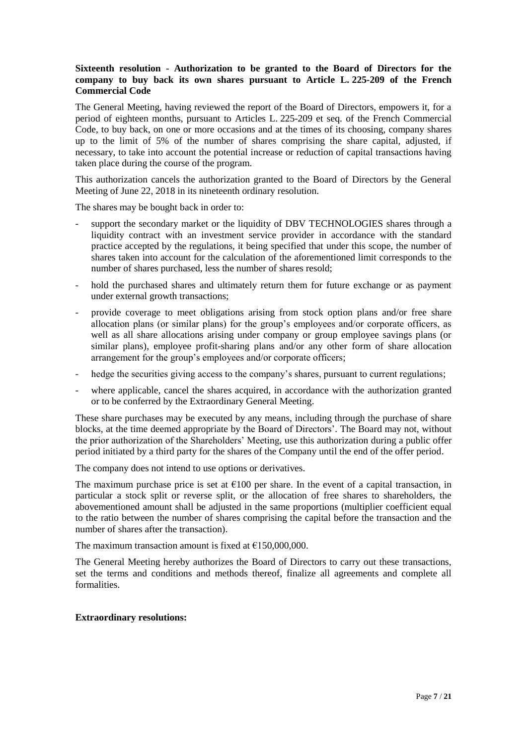# **Sixteenth resolution - Authorization to be granted to the Board of Directors for the company to buy back its own shares pursuant to Article L. 225-209 of the French Commercial Code**

The General Meeting, having reviewed the report of the Board of Directors, empowers it, for a period of eighteen months, pursuant to Articles L. 225-209 et seq. of the French Commercial Code, to buy back, on one or more occasions and at the times of its choosing, company shares up to the limit of 5% of the number of shares comprising the share capital, adjusted, if necessary, to take into account the potential increase or reduction of capital transactions having taken place during the course of the program.

This authorization cancels the authorization granted to the Board of Directors by the General Meeting of June 22, 2018 in its nineteenth ordinary resolution.

The shares may be bought back in order to:

- support the secondary market or the liquidity of DBV TECHNOLOGIES shares through a liquidity contract with an investment service provider in accordance with the standard practice accepted by the regulations, it being specified that under this scope, the number of shares taken into account for the calculation of the aforementioned limit corresponds to the number of shares purchased, less the number of shares resold;
- hold the purchased shares and ultimately return them for future exchange or as payment under external growth transactions;
- provide coverage to meet obligations arising from stock option plans and/or free share allocation plans (or similar plans) for the group's employees and/or corporate officers, as well as all share allocations arising under company or group employee savings plans (or similar plans), employee profit-sharing plans and/or any other form of share allocation arrangement for the group's employees and/or corporate officers;
- hedge the securities giving access to the company's shares, pursuant to current regulations;
- where applicable, cancel the shares acquired, in accordance with the authorization granted or to be conferred by the Extraordinary General Meeting.

These share purchases may be executed by any means, including through the purchase of share blocks, at the time deemed appropriate by the Board of Directors'. The Board may not, without the prior authorization of the Shareholders' Meeting, use this authorization during a public offer period initiated by a third party for the shares of the Company until the end of the offer period.

The company does not intend to use options or derivatives.

The maximum purchase price is set at  $\epsilon$ 100 per share. In the event of a capital transaction, in particular a stock split or reverse split, or the allocation of free shares to shareholders, the abovementioned amount shall be adjusted in the same proportions (multiplier coefficient equal to the ratio between the number of shares comprising the capital before the transaction and the number of shares after the transaction).

The maximum transaction amount is fixed at  $£150,000,000$ .

The General Meeting hereby authorizes the Board of Directors to carry out these transactions, set the terms and conditions and methods thereof, finalize all agreements and complete all formalities.

## **Extraordinary resolutions:**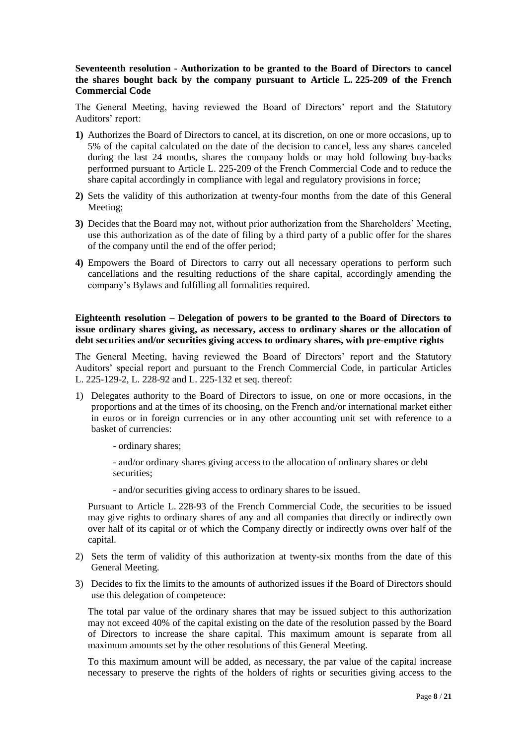## **Seventeenth resolution - Authorization to be granted to the Board of Directors to cancel the shares bought back by the company pursuant to Article L. 225-209 of the French Commercial Code**

The General Meeting, having reviewed the Board of Directors' report and the Statutory Auditors' report:

- **1)** Authorizes the Board of Directors to cancel, at its discretion, on one or more occasions, up to 5% of the capital calculated on the date of the decision to cancel, less any shares canceled during the last 24 months, shares the company holds or may hold following buy-backs performed pursuant to Article L. 225-209 of the French Commercial Code and to reduce the share capital accordingly in compliance with legal and regulatory provisions in force;
- **2)** Sets the validity of this authorization at twenty-four months from the date of this General Meeting;
- **3)** Decides that the Board may not, without prior authorization from the Shareholders' Meeting, use this authorization as of the date of filing by a third party of a public offer for the shares of the company until the end of the offer period;
- **4)** Empowers the Board of Directors to carry out all necessary operations to perform such cancellations and the resulting reductions of the share capital, accordingly amending the company's Bylaws and fulfilling all formalities required.

**Eighteenth resolution – Delegation of powers to be granted to the Board of Directors to issue ordinary shares giving, as necessary, access to ordinary shares or the allocation of debt securities and/or securities giving access to ordinary shares, with pre-emptive rights** 

The General Meeting, having reviewed the Board of Directors' report and the Statutory Auditors' special report and pursuant to the French Commercial Code, in particular Articles L. 225-129-2, L. 228-92 and L. 225-132 et seq. thereof:

- 1) Delegates authority to the Board of Directors to issue, on one or more occasions, in the proportions and at the times of its choosing, on the French and/or international market either in euros or in foreign currencies or in any other accounting unit set with reference to a basket of currencies:
	- ordinary shares;

- and/or ordinary shares giving access to the allocation of ordinary shares or debt securities:

- and/or securities giving access to ordinary shares to be issued.

Pursuant to Article L. 228-93 of the French Commercial Code, the securities to be issued may give rights to ordinary shares of any and all companies that directly or indirectly own over half of its capital or of which the Company directly or indirectly owns over half of the capital.

- 2) Sets the term of validity of this authorization at twenty-six months from the date of this General Meeting.
- 3) Decides to fix the limits to the amounts of authorized issues if the Board of Directors should use this delegation of competence:

The total par value of the ordinary shares that may be issued subject to this authorization may not exceed 40% of the capital existing on the date of the resolution passed by the Board of Directors to increase the share capital. This maximum amount is separate from all maximum amounts set by the other resolutions of this General Meeting.

To this maximum amount will be added, as necessary, the par value of the capital increase necessary to preserve the rights of the holders of rights or securities giving access to the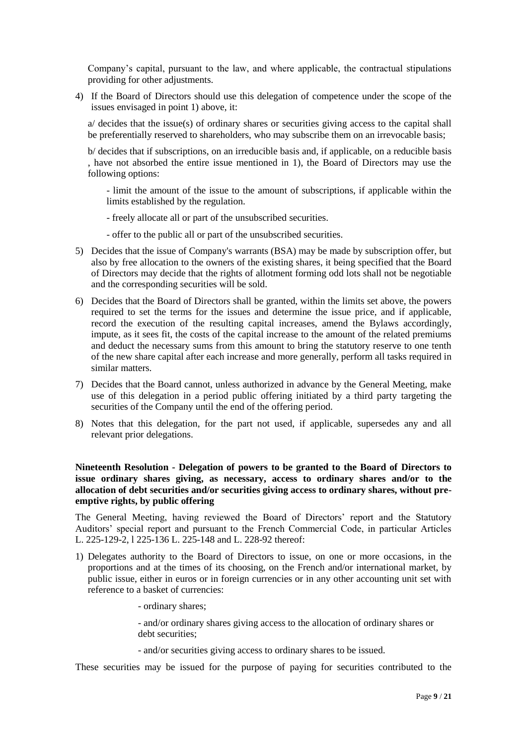Company's capital, pursuant to the law, and where applicable, the contractual stipulations providing for other adjustments.

4) If the Board of Directors should use this delegation of competence under the scope of the issues envisaged in point 1) above, it:

a/ decides that the issue(s) of ordinary shares or securities giving access to the capital shall be preferentially reserved to shareholders, who may subscribe them on an irrevocable basis;

b/ decides that if subscriptions, on an irreducible basis and, if applicable, on a reducible basis , have not absorbed the entire issue mentioned in 1), the Board of Directors may use the following options:

- limit the amount of the issue to the amount of subscriptions, if applicable within the limits established by the regulation.

- freely allocate all or part of the unsubscribed securities.

- offer to the public all or part of the unsubscribed securities.

- 5) Decides that the issue of Company's warrants (BSA) may be made by subscription offer, but also by free allocation to the owners of the existing shares, it being specified that the Board of Directors may decide that the rights of allotment forming odd lots shall not be negotiable and the corresponding securities will be sold.
- 6) Decides that the Board of Directors shall be granted, within the limits set above, the powers required to set the terms for the issues and determine the issue price, and if applicable, record the execution of the resulting capital increases, amend the Bylaws accordingly, impute, as it sees fit, the costs of the capital increase to the amount of the related premiums and deduct the necessary sums from this amount to bring the statutory reserve to one tenth of the new share capital after each increase and more generally, perform all tasks required in similar matters.
- 7) Decides that the Board cannot, unless authorized in advance by the General Meeting, make use of this delegation in a period public offering initiated by a third party targeting the securities of the Company until the end of the offering period.
- 8) Notes that this delegation, for the part not used, if applicable, supersedes any and all relevant prior delegations.

# **Nineteenth Resolution - Delegation of powers to be granted to the Board of Directors to issue ordinary shares giving, as necessary, access to ordinary shares and/or to the allocation of debt securities and/or securities giving access to ordinary shares, without preemptive rights, by public offering**

The General Meeting, having reviewed the Board of Directors' report and the Statutory Auditors' special report and pursuant to the French Commercial Code, in particular Articles L. 225-129-2, l 225-136 L. 225-148 and L. 228-92 thereof:

- 1) Delegates authority to the Board of Directors to issue, on one or more occasions, in the proportions and at the times of its choosing, on the French and/or international market, by public issue, either in euros or in foreign currencies or in any other accounting unit set with reference to a basket of currencies:
	- ordinary shares;

- and/or ordinary shares giving access to the allocation of ordinary shares or debt securities:

- and/or securities giving access to ordinary shares to be issued.

These securities may be issued for the purpose of paying for securities contributed to the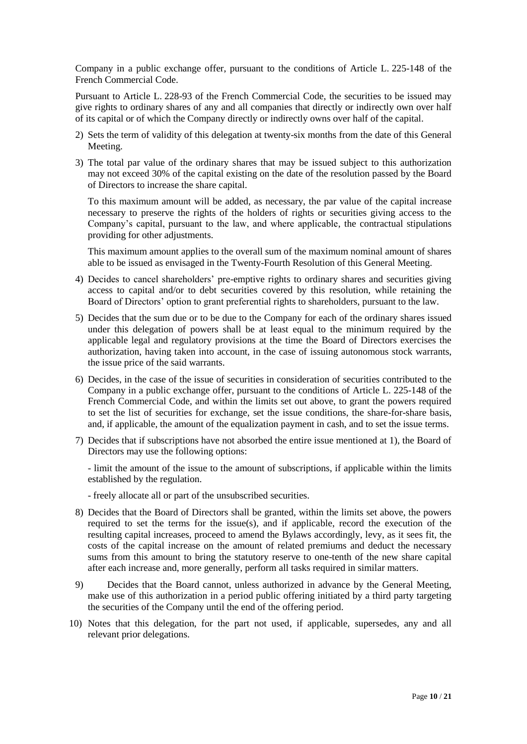Company in a public exchange offer, pursuant to the conditions of Article L. 225-148 of the French Commercial Code.

Pursuant to Article L. 228-93 of the French Commercial Code, the securities to be issued may give rights to ordinary shares of any and all companies that directly or indirectly own over half of its capital or of which the Company directly or indirectly owns over half of the capital.

- 2) Sets the term of validity of this delegation at twenty-six months from the date of this General Meeting.
- 3) The total par value of the ordinary shares that may be issued subject to this authorization may not exceed 30% of the capital existing on the date of the resolution passed by the Board of Directors to increase the share capital.

To this maximum amount will be added, as necessary, the par value of the capital increase necessary to preserve the rights of the holders of rights or securities giving access to the Company's capital, pursuant to the law, and where applicable, the contractual stipulations providing for other adjustments.

This maximum amount applies to the overall sum of the maximum nominal amount of shares able to be issued as envisaged in the Twenty-Fourth Resolution of this General Meeting.

- 4) Decides to cancel shareholders' pre-emptive rights to ordinary shares and securities giving access to capital and/or to debt securities covered by this resolution, while retaining the Board of Directors' option to grant preferential rights to shareholders, pursuant to the law.
- 5) Decides that the sum due or to be due to the Company for each of the ordinary shares issued under this delegation of powers shall be at least equal to the minimum required by the applicable legal and regulatory provisions at the time the Board of Directors exercises the authorization, having taken into account, in the case of issuing autonomous stock warrants, the issue price of the said warrants.
- 6) Decides, in the case of the issue of securities in consideration of securities contributed to the Company in a public exchange offer, pursuant to the conditions of Article L. 225-148 of the French Commercial Code, and within the limits set out above, to grant the powers required to set the list of securities for exchange, set the issue conditions, the share-for-share basis, and, if applicable, the amount of the equalization payment in cash, and to set the issue terms.
- 7) Decides that if subscriptions have not absorbed the entire issue mentioned at 1), the Board of Directors may use the following options:

- limit the amount of the issue to the amount of subscriptions, if applicable within the limits established by the regulation.

- freely allocate all or part of the unsubscribed securities.
- 8) Decides that the Board of Directors shall be granted, within the limits set above, the powers required to set the terms for the issue(s), and if applicable, record the execution of the resulting capital increases, proceed to amend the Bylaws accordingly, levy, as it sees fit, the costs of the capital increase on the amount of related premiums and deduct the necessary sums from this amount to bring the statutory reserve to one-tenth of the new share capital after each increase and, more generally, perform all tasks required in similar matters.
- 9) Decides that the Board cannot, unless authorized in advance by the General Meeting, make use of this authorization in a period public offering initiated by a third party targeting the securities of the Company until the end of the offering period.
- 10) Notes that this delegation, for the part not used, if applicable, supersedes, any and all relevant prior delegations.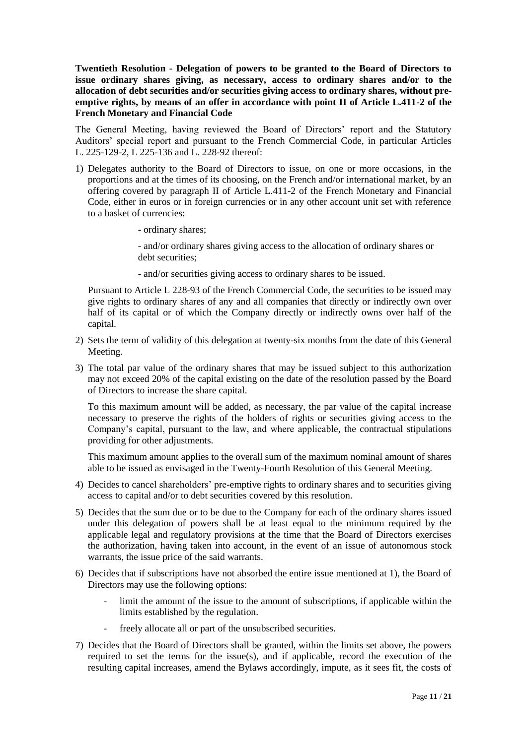**Twentieth Resolution - Delegation of powers to be granted to the Board of Directors to issue ordinary shares giving, as necessary, access to ordinary shares and/or to the allocation of debt securities and/or securities giving access to ordinary shares, without preemptive rights, by means of an offer in accordance with point II of Article L.411-2 of the French Monetary and Financial Code**

The General Meeting, having reviewed the Board of Directors' report and the Statutory Auditors' special report and pursuant to the French Commercial Code, in particular Articles L. 225-129-2, L 225-136 and L. 228-92 thereof:

- 1) Delegates authority to the Board of Directors to issue, on one or more occasions, in the proportions and at the times of its choosing, on the French and/or international market, by an offering covered by paragraph II of Article L.411-2 of the French Monetary and Financial Code, either in euros or in foreign currencies or in any other account unit set with reference to a basket of currencies:
	- ordinary shares;

- and/or ordinary shares giving access to the allocation of ordinary shares or debt securities:

- and/or securities giving access to ordinary shares to be issued.

Pursuant to Article L 228-93 of the French Commercial Code, the securities to be issued may give rights to ordinary shares of any and all companies that directly or indirectly own over half of its capital or of which the Company directly or indirectly owns over half of the capital.

- 2) Sets the term of validity of this delegation at twenty-six months from the date of this General Meeting.
- 3) The total par value of the ordinary shares that may be issued subject to this authorization may not exceed 20% of the capital existing on the date of the resolution passed by the Board of Directors to increase the share capital.

To this maximum amount will be added, as necessary, the par value of the capital increase necessary to preserve the rights of the holders of rights or securities giving access to the Company's capital, pursuant to the law, and where applicable, the contractual stipulations providing for other adjustments.

This maximum amount applies to the overall sum of the maximum nominal amount of shares able to be issued as envisaged in the Twenty-Fourth Resolution of this General Meeting.

- 4) Decides to cancel shareholders' pre-emptive rights to ordinary shares and to securities giving access to capital and/or to debt securities covered by this resolution.
- 5) Decides that the sum due or to be due to the Company for each of the ordinary shares issued under this delegation of powers shall be at least equal to the minimum required by the applicable legal and regulatory provisions at the time that the Board of Directors exercises the authorization, having taken into account, in the event of an issue of autonomous stock warrants, the issue price of the said warrants.
- 6) Decides that if subscriptions have not absorbed the entire issue mentioned at 1), the Board of Directors may use the following options:
	- limit the amount of the issue to the amount of subscriptions, if applicable within the limits established by the regulation.
	- freely allocate all or part of the unsubscribed securities.
- 7) Decides that the Board of Directors shall be granted, within the limits set above, the powers required to set the terms for the issue(s), and if applicable, record the execution of the resulting capital increases, amend the Bylaws accordingly, impute, as it sees fit, the costs of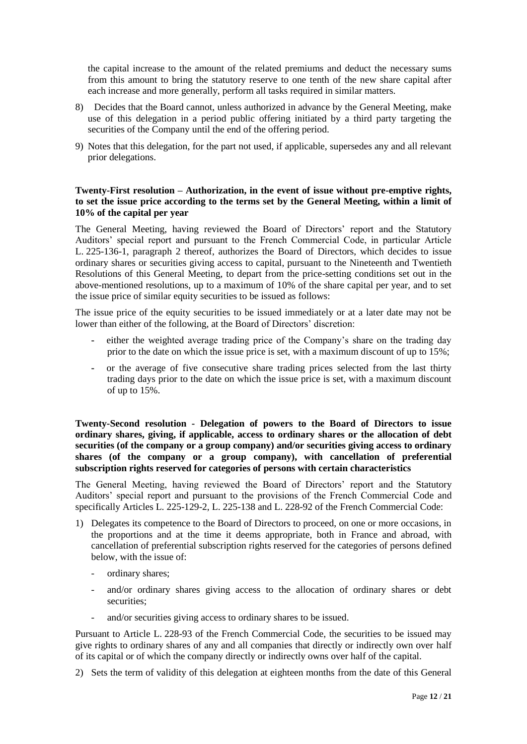the capital increase to the amount of the related premiums and deduct the necessary sums from this amount to bring the statutory reserve to one tenth of the new share capital after each increase and more generally, perform all tasks required in similar matters.

- 8) Decides that the Board cannot, unless authorized in advance by the General Meeting, make use of this delegation in a period public offering initiated by a third party targeting the securities of the Company until the end of the offering period.
- 9) Notes that this delegation, for the part not used, if applicable, supersedes any and all relevant prior delegations.

# **Twenty-First resolution – Authorization, in the event of issue without pre-emptive rights, to set the issue price according to the terms set by the General Meeting, within a limit of 10% of the capital per year**

The General Meeting, having reviewed the Board of Directors' report and the Statutory Auditors' special report and pursuant to the French Commercial Code, in particular Article L. 225-136-1, paragraph 2 thereof, authorizes the Board of Directors, which decides to issue ordinary shares or securities giving access to capital, pursuant to the Nineteenth and Twentieth Resolutions of this General Meeting, to depart from the price-setting conditions set out in the above-mentioned resolutions, up to a maximum of 10% of the share capital per year, and to set the issue price of similar equity securities to be issued as follows:

The issue price of the equity securities to be issued immediately or at a later date may not be lower than either of the following, at the Board of Directors' discretion:

- either the weighted average trading price of the Company's share on the trading day prior to the date on which the issue price is set, with a maximum discount of up to 15%;
- **-** or the average of five consecutive share trading prices selected from the last thirty trading days prior to the date on which the issue price is set, with a maximum discount of up to 15%.

**Twenty-Second resolution - Delegation of powers to the Board of Directors to issue ordinary shares, giving, if applicable, access to ordinary shares or the allocation of debt securities (of the company or a group company) and/or securities giving access to ordinary shares (of the company or a group company), with cancellation of preferential subscription rights reserved for categories of persons with certain characteristics**

The General Meeting, having reviewed the Board of Directors' report and the Statutory Auditors' special report and pursuant to the provisions of the French Commercial Code and specifically Articles L. 225-129-2, L. 225-138 and L. 228-92 of the French Commercial Code:

- 1) Delegates its competence to the Board of Directors to proceed, on one or more occasions, in the proportions and at the time it deems appropriate, both in France and abroad, with cancellation of preferential subscription rights reserved for the categories of persons defined below, with the issue of:
	- ordinary shares;
	- and/or ordinary shares giving access to the allocation of ordinary shares or debt securities;
	- and/or securities giving access to ordinary shares to be issued.

Pursuant to Article L. 228-93 of the French Commercial Code, the securities to be issued may give rights to ordinary shares of any and all companies that directly or indirectly own over half of its capital or of which the company directly or indirectly owns over half of the capital.

2) Sets the term of validity of this delegation at eighteen months from the date of this General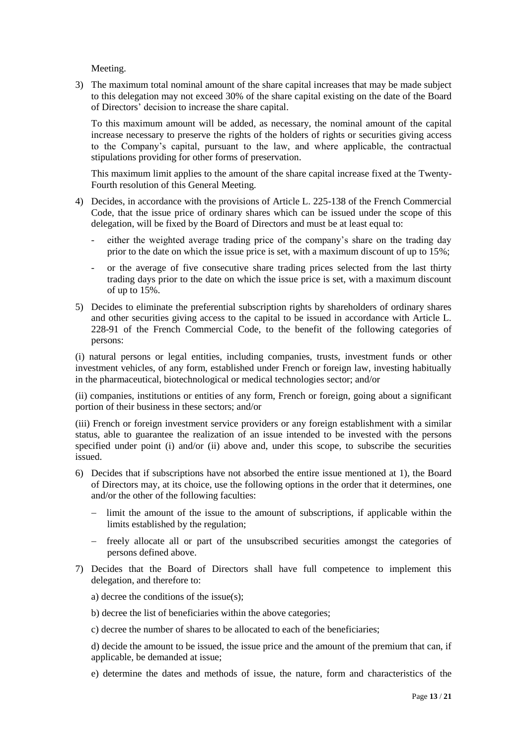Meeting.

3) The maximum total nominal amount of the share capital increases that may be made subject to this delegation may not exceed 30% of the share capital existing on the date of the Board of Directors' decision to increase the share capital.

To this maximum amount will be added, as necessary, the nominal amount of the capital increase necessary to preserve the rights of the holders of rights or securities giving access to the Company's capital, pursuant to the law, and where applicable, the contractual stipulations providing for other forms of preservation.

This maximum limit applies to the amount of the share capital increase fixed at the Twenty-Fourth resolution of this General Meeting.

- 4) Decides, in accordance with the provisions of Article L. 225-138 of the French Commercial Code, that the issue price of ordinary shares which can be issued under the scope of this delegation, will be fixed by the Board of Directors and must be at least equal to:
	- either the weighted average trading price of the company's share on the trading day prior to the date on which the issue price is set, with a maximum discount of up to 15%;
	- or the average of five consecutive share trading prices selected from the last thirty trading days prior to the date on which the issue price is set, with a maximum discount of up to 15%.
- 5) Decides to eliminate the preferential subscription rights by shareholders of ordinary shares and other securities giving access to the capital to be issued in accordance with Article L. 228-91 of the French Commercial Code, to the benefit of the following categories of persons:

(i) natural persons or legal entities, including companies, trusts, investment funds or other investment vehicles, of any form, established under French or foreign law, investing habitually in the pharmaceutical, biotechnological or medical technologies sector; and/or

(ii) companies, institutions or entities of any form, French or foreign, going about a significant portion of their business in these sectors; and/or

(iii) French or foreign investment service providers or any foreign establishment with a similar status, able to guarantee the realization of an issue intended to be invested with the persons specified under point (i) and/or (ii) above and, under this scope, to subscribe the securities issued.

- 6) Decides that if subscriptions have not absorbed the entire issue mentioned at 1), the Board of Directors may, at its choice, use the following options in the order that it determines, one and/or the other of the following faculties:
	- limit the amount of the issue to the amount of subscriptions, if applicable within the limits established by the regulation;
	- freely allocate all or part of the unsubscribed securities amongst the categories of persons defined above.
- 7) Decides that the Board of Directors shall have full competence to implement this delegation, and therefore to:
	- a) decree the conditions of the issue(s);
	- b) decree the list of beneficiaries within the above categories;
	- c) decree the number of shares to be allocated to each of the beneficiaries;

d) decide the amount to be issued, the issue price and the amount of the premium that can, if applicable, be demanded at issue;

e) determine the dates and methods of issue, the nature, form and characteristics of the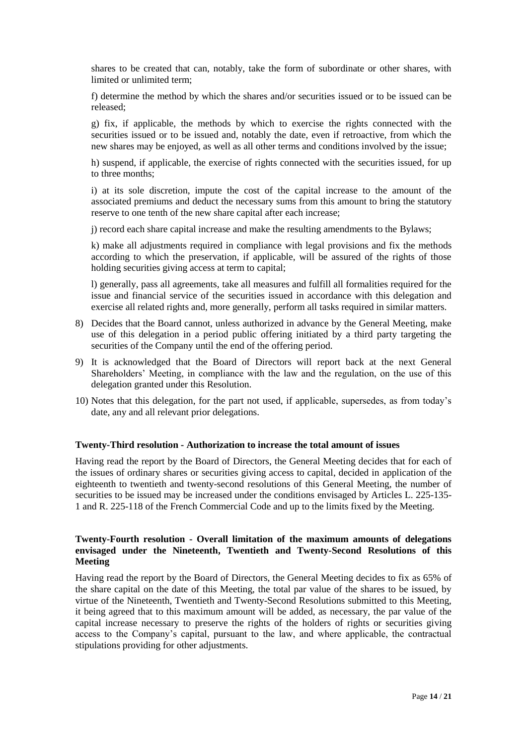shares to be created that can, notably, take the form of subordinate or other shares, with limited or unlimited term;

f) determine the method by which the shares and/or securities issued or to be issued can be released;

g) fix, if applicable, the methods by which to exercise the rights connected with the securities issued or to be issued and, notably the date, even if retroactive, from which the new shares may be enjoyed, as well as all other terms and conditions involved by the issue;

h) suspend, if applicable, the exercise of rights connected with the securities issued, for up to three months;

i) at its sole discretion, impute the cost of the capital increase to the amount of the associated premiums and deduct the necessary sums from this amount to bring the statutory reserve to one tenth of the new share capital after each increase;

j) record each share capital increase and make the resulting amendments to the Bylaws;

k) make all adjustments required in compliance with legal provisions and fix the methods according to which the preservation, if applicable, will be assured of the rights of those holding securities giving access at term to capital;

l) generally, pass all agreements, take all measures and fulfill all formalities required for the issue and financial service of the securities issued in accordance with this delegation and exercise all related rights and, more generally, perform all tasks required in similar matters.

- 8) Decides that the Board cannot, unless authorized in advance by the General Meeting, make use of this delegation in a period public offering initiated by a third party targeting the securities of the Company until the end of the offering period.
- 9) It is acknowledged that the Board of Directors will report back at the next General Shareholders' Meeting, in compliance with the law and the regulation, on the use of this delegation granted under this Resolution.
- 10) Notes that this delegation, for the part not used, if applicable, supersedes, as from today's date, any and all relevant prior delegations.

## **Twenty-Third resolution - Authorization to increase the total amount of issues**

Having read the report by the Board of Directors, the General Meeting decides that for each of the issues of ordinary shares or securities giving access to capital, decided in application of the eighteenth to twentieth and twenty-second resolutions of this General Meeting, the number of securities to be issued may be increased under the conditions envisaged by Articles L. 225-135-1 and R. 225-118 of the French Commercial Code and up to the limits fixed by the Meeting.

# **Twenty-Fourth resolution - Overall limitation of the maximum amounts of delegations envisaged under the Nineteenth, Twentieth and Twenty-Second Resolutions of this Meeting**

Having read the report by the Board of Directors, the General Meeting decides to fix as 65% of the share capital on the date of this Meeting, the total par value of the shares to be issued, by virtue of the Nineteenth, Twentieth and Twenty-Second Resolutions submitted to this Meeting, it being agreed that to this maximum amount will be added, as necessary, the par value of the capital increase necessary to preserve the rights of the holders of rights or securities giving access to the Company's capital, pursuant to the law, and where applicable, the contractual stipulations providing for other adjustments.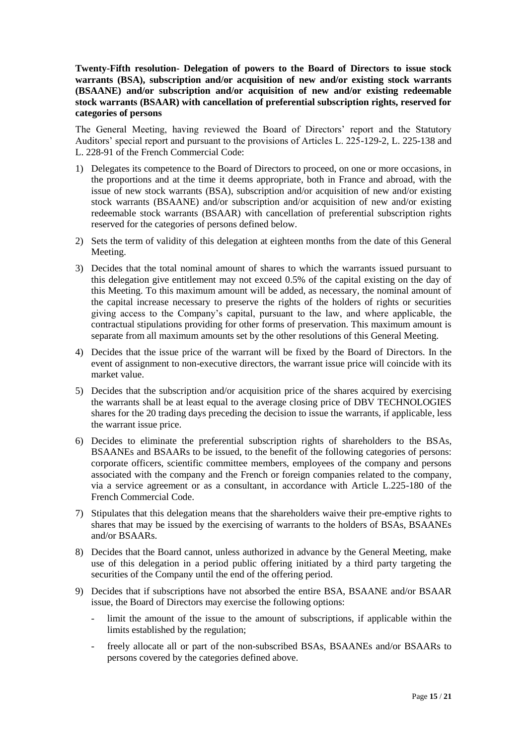**Twenty-Fifth resolution- Delegation of powers to the Board of Directors to issue stock warrants (BSA), subscription and/or acquisition of new and/or existing stock warrants (BSAANE) and/or subscription and/or acquisition of new and/or existing redeemable stock warrants (BSAAR) with cancellation of preferential subscription rights, reserved for categories of persons**

The General Meeting, having reviewed the Board of Directors' report and the Statutory Auditors' special report and pursuant to the provisions of Articles L. 225-129-2, L. 225-138 and L. 228-91 of the French Commercial Code:

- 1) Delegates its competence to the Board of Directors to proceed, on one or more occasions, in the proportions and at the time it deems appropriate, both in France and abroad, with the issue of new stock warrants (BSA), subscription and/or acquisition of new and/or existing stock warrants (BSAANE) and/or subscription and/or acquisition of new and/or existing redeemable stock warrants (BSAAR) with cancellation of preferential subscription rights reserved for the categories of persons defined below.
- 2) Sets the term of validity of this delegation at eighteen months from the date of this General Meeting.
- 3) Decides that the total nominal amount of shares to which the warrants issued pursuant to this delegation give entitlement may not exceed 0.5% of the capital existing on the day of this Meeting. To this maximum amount will be added, as necessary, the nominal amount of the capital increase necessary to preserve the rights of the holders of rights or securities giving access to the Company's capital, pursuant to the law, and where applicable, the contractual stipulations providing for other forms of preservation. This maximum amount is separate from all maximum amounts set by the other resolutions of this General Meeting.
- 4) Decides that the issue price of the warrant will be fixed by the Board of Directors. In the event of assignment to non-executive directors, the warrant issue price will coincide with its market value.
- 5) Decides that the subscription and/or acquisition price of the shares acquired by exercising the warrants shall be at least equal to the average closing price of DBV TECHNOLOGIES shares for the 20 trading days preceding the decision to issue the warrants, if applicable, less the warrant issue price.
- 6) Decides to eliminate the preferential subscription rights of shareholders to the BSAs, BSAANEs and BSAARs to be issued, to the benefit of the following categories of persons: corporate officers, scientific committee members, employees of the company and persons associated with the company and the French or foreign companies related to the company, via a service agreement or as a consultant, in accordance with Article L.225-180 of the French Commercial Code.
- 7) Stipulates that this delegation means that the shareholders waive their pre-emptive rights to shares that may be issued by the exercising of warrants to the holders of BSAs, BSAANEs and/or BSAARs.
- 8) Decides that the Board cannot, unless authorized in advance by the General Meeting, make use of this delegation in a period public offering initiated by a third party targeting the securities of the Company until the end of the offering period.
- 9) Decides that if subscriptions have not absorbed the entire BSA, BSAANE and/or BSAAR issue, the Board of Directors may exercise the following options:
	- limit the amount of the issue to the amount of subscriptions, if applicable within the limits established by the regulation;
	- freely allocate all or part of the non-subscribed BSAs, BSAANEs and/or BSAARs to persons covered by the categories defined above.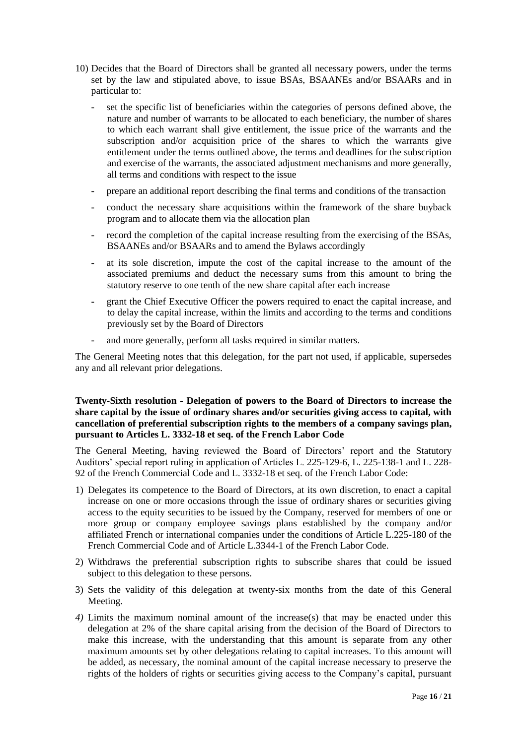- 10) Decides that the Board of Directors shall be granted all necessary powers, under the terms set by the law and stipulated above, to issue BSAs, BSAANEs and/or BSAARs and in particular to:
	- **-** set the specific list of beneficiaries within the categories of persons defined above, the nature and number of warrants to be allocated to each beneficiary, the number of shares to which each warrant shall give entitlement, the issue price of the warrants and the subscription and/or acquisition price of the shares to which the warrants give entitlement under the terms outlined above, the terms and deadlines for the subscription and exercise of the warrants, the associated adjustment mechanisms and more generally, all terms and conditions with respect to the issue
	- **-** prepare an additional report describing the final terms and conditions of the transaction
	- **-** conduct the necessary share acquisitions within the framework of the share buyback program and to allocate them via the allocation plan
	- **-** record the completion of the capital increase resulting from the exercising of the BSAs, BSAANEs and/or BSAARs and to amend the Bylaws accordingly
	- **-** at its sole discretion, impute the cost of the capital increase to the amount of the associated premiums and deduct the necessary sums from this amount to bring the statutory reserve to one tenth of the new share capital after each increase
	- **-** grant the Chief Executive Officer the powers required to enact the capital increase, and to delay the capital increase, within the limits and according to the terms and conditions previously set by the Board of Directors
	- **-** and more generally, perform all tasks required in similar matters.

The General Meeting notes that this delegation, for the part not used, if applicable, supersedes any and all relevant prior delegations.

# **Twenty-Sixth resolution - Delegation of powers to the Board of Directors to increase the share capital by the issue of ordinary shares and/or securities giving access to capital, with cancellation of preferential subscription rights to the members of a company savings plan, pursuant to Articles L. 3332-18 et seq. of the French Labor Code**

The General Meeting, having reviewed the Board of Directors' report and the Statutory Auditors' special report ruling in application of Articles L. 225-129-6, L. 225-138-1 and L. 228- 92 of the French Commercial Code and L. 3332-18 et seq. of the French Labor Code:

- 1) Delegates its competence to the Board of Directors, at its own discretion, to enact a capital increase on one or more occasions through the issue of ordinary shares or securities giving access to the equity securities to be issued by the Company, reserved for members of one or more group or company employee savings plans established by the company and/or affiliated French or international companies under the conditions of Article L.225-180 of the French Commercial Code and of Article L.3344-1 of the French Labor Code.
- 2) Withdraws the preferential subscription rights to subscribe shares that could be issued subject to this delegation to these persons.
- 3) Sets the validity of this delegation at twenty-six months from the date of this General Meeting.
- *4)* Limits the maximum nominal amount of the increase(s) that may be enacted under this delegation at 2% of the share capital arising from the decision of the Board of Directors to make this increase, with the understanding that this amount is separate from any other maximum amounts set by other delegations relating to capital increases. To this amount will be added, as necessary, the nominal amount of the capital increase necessary to preserve the rights of the holders of rights or securities giving access to the Company's capital, pursuant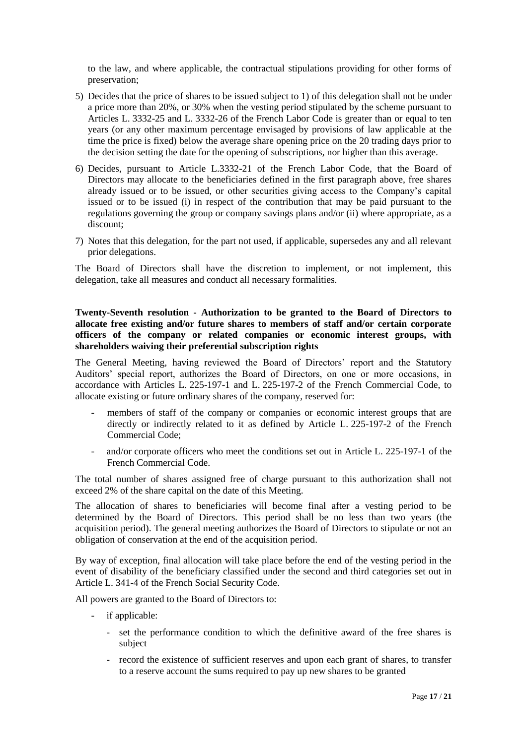to the law, and where applicable, the contractual stipulations providing for other forms of preservation;

- 5) Decides that the price of shares to be issued subject to 1) of this delegation shall not be under a price more than 20%, or 30% when the vesting period stipulated by the scheme pursuant to Articles L. 3332-25 and L. 3332-26 of the French Labor Code is greater than or equal to ten years (or any other maximum percentage envisaged by provisions of law applicable at the time the price is fixed) below the average share opening price on the 20 trading days prior to the decision setting the date for the opening of subscriptions, nor higher than this average.
- 6) Decides, pursuant to Article L.3332-21 of the French Labor Code, that the Board of Directors may allocate to the beneficiaries defined in the first paragraph above, free shares already issued or to be issued, or other securities giving access to the Company's capital issued or to be issued (i) in respect of the contribution that may be paid pursuant to the regulations governing the group or company savings plans and/or (ii) where appropriate, as a discount;
- 7) Notes that this delegation, for the part not used, if applicable, supersedes any and all relevant prior delegations.

The Board of Directors shall have the discretion to implement, or not implement, this delegation, take all measures and conduct all necessary formalities.

## **Twenty-Seventh resolution - Authorization to be granted to the Board of Directors to allocate free existing and/or future shares to members of staff and/or certain corporate officers of the company or related companies or economic interest groups, with shareholders waiving their preferential subscription rights**

The General Meeting, having reviewed the Board of Directors' report and the Statutory Auditors' special report, authorizes the Board of Directors, on one or more occasions, in accordance with Articles L. 225-197-1 and L. 225-197-2 of the French Commercial Code, to allocate existing or future ordinary shares of the company, reserved for:

- members of staff of the company or companies or economic interest groups that are directly or indirectly related to it as defined by Article L. 225-197-2 of the French Commercial Code;
- and/or corporate officers who meet the conditions set out in Article L. 225-197-1 of the French Commercial Code.

The total number of shares assigned free of charge pursuant to this authorization shall not exceed 2% of the share capital on the date of this Meeting.

The allocation of shares to beneficiaries will become final after a vesting period to be determined by the Board of Directors. This period shall be no less than two years (the acquisition period). The general meeting authorizes the Board of Directors to stipulate or not an obligation of conservation at the end of the acquisition period.

By way of exception, final allocation will take place before the end of the vesting period in the event of disability of the beneficiary classified under the second and third categories set out in Article L. 341-4 of the French Social Security Code.

All powers are granted to the Board of Directors to:

- if applicable:
	- set the performance condition to which the definitive award of the free shares is subject
	- record the existence of sufficient reserves and upon each grant of shares, to transfer to a reserve account the sums required to pay up new shares to be granted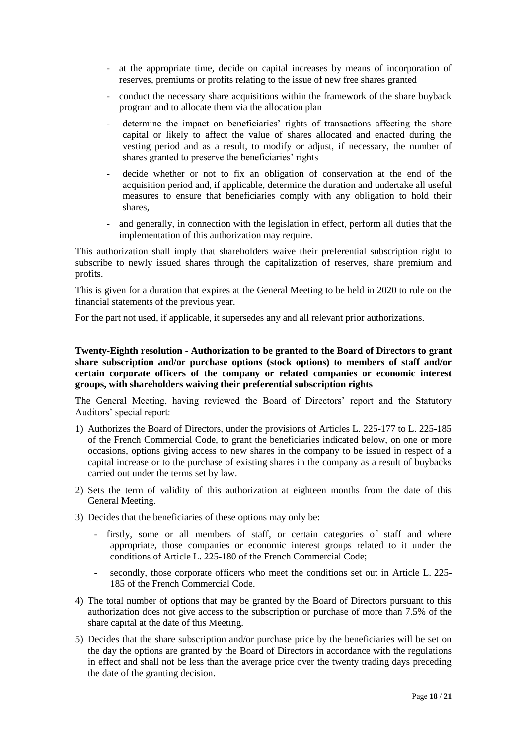- at the appropriate time, decide on capital increases by means of incorporation of reserves, premiums or profits relating to the issue of new free shares granted
- conduct the necessary share acquisitions within the framework of the share buyback program and to allocate them via the allocation plan
- determine the impact on beneficiaries' rights of transactions affecting the share capital or likely to affect the value of shares allocated and enacted during the vesting period and as a result, to modify or adjust, if necessary, the number of shares granted to preserve the beneficiaries' rights
- decide whether or not to fix an obligation of conservation at the end of the acquisition period and, if applicable, determine the duration and undertake all useful measures to ensure that beneficiaries comply with any obligation to hold their shares,
- and generally, in connection with the legislation in effect, perform all duties that the implementation of this authorization may require.

This authorization shall imply that shareholders waive their preferential subscription right to subscribe to newly issued shares through the capitalization of reserves, share premium and profits.

This is given for a duration that expires at the General Meeting to be held in 2020 to rule on the financial statements of the previous year.

For the part not used, if applicable, it supersedes any and all relevant prior authorizations.

## **Twenty-Eighth resolution - Authorization to be granted to the Board of Directors to grant share subscription and/or purchase options (stock options) to members of staff and/or certain corporate officers of the company or related companies or economic interest groups, with shareholders waiving their preferential subscription rights**

The General Meeting, having reviewed the Board of Directors' report and the Statutory Auditors' special report:

- 1) Authorizes the Board of Directors, under the provisions of Articles L. 225-177 to L. 225-185 of the French Commercial Code, to grant the beneficiaries indicated below, on one or more occasions, options giving access to new shares in the company to be issued in respect of a capital increase or to the purchase of existing shares in the company as a result of buybacks carried out under the terms set by law.
- 2) Sets the term of validity of this authorization at eighteen months from the date of this General Meeting.
- 3) Decides that the beneficiaries of these options may only be:
	- firstly, some or all members of staff, or certain categories of staff and where appropriate, those companies or economic interest groups related to it under the conditions of Article L. 225-180 of the French Commercial Code;
	- secondly, those corporate officers who meet the conditions set out in Article L. 225- 185 of the French Commercial Code.
- 4) The total number of options that may be granted by the Board of Directors pursuant to this authorization does not give access to the subscription or purchase of more than 7.5% of the share capital at the date of this Meeting.
- 5) Decides that the share subscription and/or purchase price by the beneficiaries will be set on the day the options are granted by the Board of Directors in accordance with the regulations in effect and shall not be less than the average price over the twenty trading days preceding the date of the granting decision.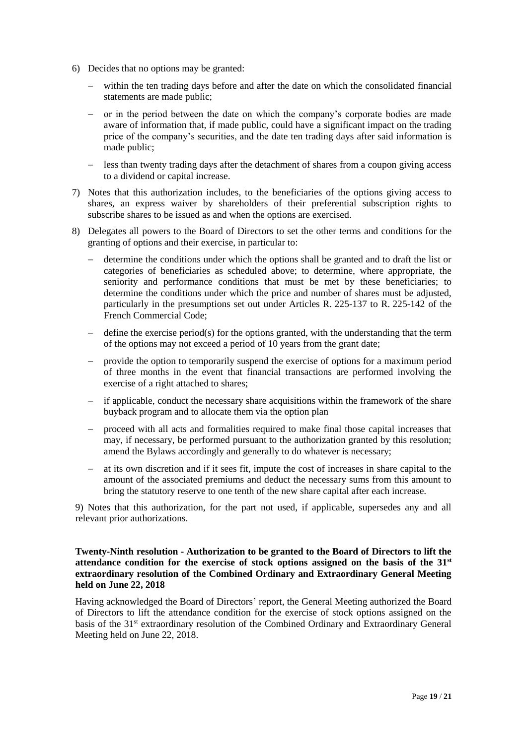- 6) Decides that no options may be granted:
	- within the ten trading days before and after the date on which the consolidated financial statements are made public;
	- − or in the period between the date on which the company's corporate bodies are made aware of information that, if made public, could have a significant impact on the trading price of the company's securities, and the date ten trading days after said information is made public;
	- − less than twenty trading days after the detachment of shares from a coupon giving access to a dividend or capital increase.
- 7) Notes that this authorization includes, to the beneficiaries of the options giving access to shares, an express waiver by shareholders of their preferential subscription rights to subscribe shares to be issued as and when the options are exercised.
- 8) Delegates all powers to the Board of Directors to set the other terms and conditions for the granting of options and their exercise, in particular to:
	- − determine the conditions under which the options shall be granted and to draft the list or categories of beneficiaries as scheduled above; to determine, where appropriate, the seniority and performance conditions that must be met by these beneficiaries; to determine the conditions under which the price and number of shares must be adjusted, particularly in the presumptions set out under Articles R. 225-137 to R. 225-142 of the French Commercial Code;
	- define the exercise period(s) for the options granted, with the understanding that the term of the options may not exceed a period of 10 years from the grant date;
	- − provide the option to temporarily suspend the exercise of options for a maximum period of three months in the event that financial transactions are performed involving the exercise of a right attached to shares;
	- if applicable, conduct the necessary share acquisitions within the framework of the share buyback program and to allocate them via the option plan
	- − proceed with all acts and formalities required to make final those capital increases that may, if necessary, be performed pursuant to the authorization granted by this resolution; amend the Bylaws accordingly and generally to do whatever is necessary;
	- − at its own discretion and if it sees fit, impute the cost of increases in share capital to the amount of the associated premiums and deduct the necessary sums from this amount to bring the statutory reserve to one tenth of the new share capital after each increase.

9) Notes that this authorization, for the part not used, if applicable, supersedes any and all relevant prior authorizations.

# **Twenty-Ninth resolution - Authorization to be granted to the Board of Directors to lift the attendance condition for the exercise of stock options assigned on the basis of the 31st extraordinary resolution of the Combined Ordinary and Extraordinary General Meeting held on June 22, 2018**

Having acknowledged the Board of Directors' report, the General Meeting authorized the Board of Directors to lift the attendance condition for the exercise of stock options assigned on the basis of the 31<sup>st</sup> extraordinary resolution of the Combined Ordinary and Extraordinary General Meeting held on June 22, 2018.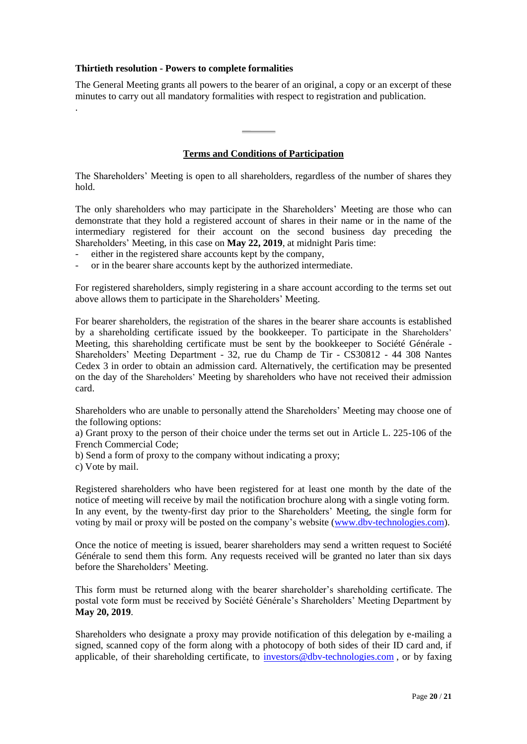## **Thirtieth resolution - Powers to complete formalities**

The General Meeting grants all powers to the bearer of an original, a copy or an excerpt of these minutes to carry out all mandatory formalities with respect to registration and publication. .

## **Terms and Conditions of Participation**

The Shareholders' Meeting is open to all shareholders, regardless of the number of shares they hold.

The only shareholders who may participate in the Shareholders' Meeting are those who can demonstrate that they hold a registered account of shares in their name or in the name of the intermediary registered for their account on the second business day preceding the Shareholders' Meeting, in this case on **May 22, 2019**, at midnight Paris time:

- either in the registered share accounts kept by the company,
- or in the bearer share accounts kept by the authorized intermediate.

For registered shareholders, simply registering in a share account according to the terms set out above allows them to participate in the Shareholders' Meeting.

For bearer shareholders, the registration of the shares in the bearer share accounts is established by a shareholding certificate issued by the bookkeeper. To participate in the Shareholders' Meeting, this shareholding certificate must be sent by the bookkeeper to Société Générale - Shareholders' Meeting Department - 32, rue du Champ de Tir - CS30812 - 44 308 Nantes Cedex 3 in order to obtain an admission card. Alternatively, the certification may be presented on the day of the Shareholders' Meeting by shareholders who have not received their admission card.

Shareholders who are unable to personally attend the Shareholders' Meeting may choose one of the following options:

a) Grant proxy to the person of their choice under the terms set out in Article L. 225-106 of the French Commercial Code;

b) Send a form of proxy to the company without indicating a proxy;

c) Vote by mail.

Registered shareholders who have been registered for at least one month by the date of the notice of meeting will receive by mail the notification brochure along with a single voting form. In any event, by the twenty-first day prior to the Shareholders' Meeting*,* the single form for voting by mail or proxy will be posted on the company's website [\(www.dbv-technologies.com\)](http://www.dbv-technologies.com/).

Once the notice of meeting is issued, bearer shareholders may send a written request to Société Générale to send them this form. Any requests received will be granted no later than six days before the Shareholders' Meeting.

This form must be returned along with the bearer shareholder's shareholding certificate. The postal vote form must be received by Société Générale's Shareholders' Meeting Department by **May 20, 2019**.

Shareholders who designate a proxy may provide notification of this delegation by e-mailing a signed, scanned copy of the form along with a photocopy of both sides of their ID card and, if applicable, of their shareholding certificate, to [investors@dbv-technologies.com](http://mailto:investors@dbv-technologies.com/) , or by faxing